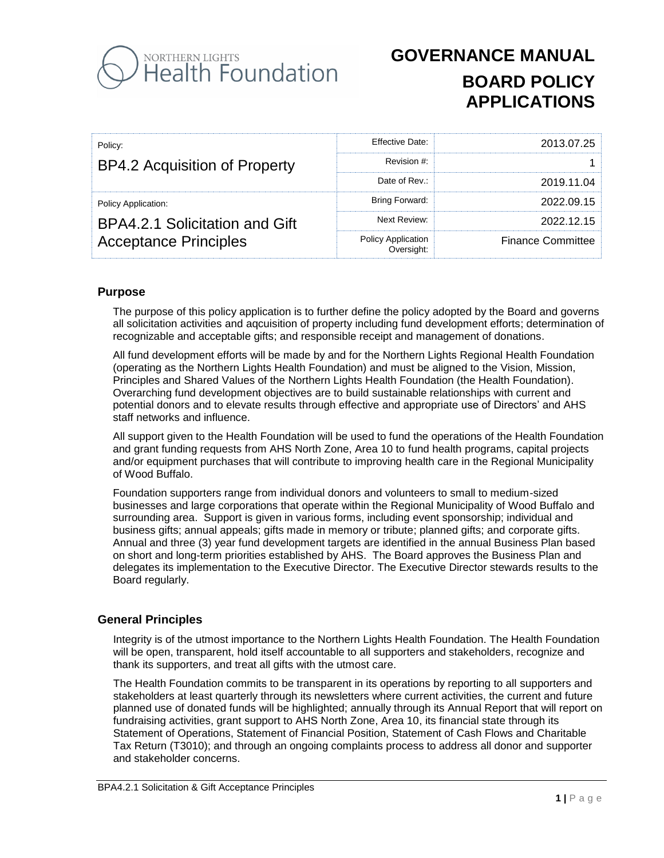

| Policy:                        | Effective Date:                  | 2013.07.25               |
|--------------------------------|----------------------------------|--------------------------|
| BP4.2 Acquisition of Property  | Revision #:                      |                          |
|                                | Date of Rev.:                    | 2019.11.04               |
| Policy Application:            | Bring Forward:                   | 2022.09.15               |
| BPA4.2.1 Solicitation and Gift | Next Review:                     | 2022.12.15               |
| <b>Acceptance Principles</b>   | Policy Application<br>:Oversight | <b>Finance Committee</b> |

## **Purpose**

The purpose of this policy application is to further define the policy adopted by the Board and governs all solicitation activities and aqcuisition of property including fund development efforts; determination of recognizable and acceptable gifts; and responsible receipt and management of donations.

All fund development efforts will be made by and for the Northern Lights Regional Health Foundation (operating as the Northern Lights Health Foundation) and must be aligned to the Vision, Mission, Principles and Shared Values of the Northern Lights Health Foundation (the Health Foundation). Overarching fund development objectives are to build sustainable relationships with current and potential donors and to elevate results through effective and appropriate use of Directors' and AHS staff networks and influence.

All support given to the Health Foundation will be used to fund the operations of the Health Foundation and grant funding requests from AHS North Zone, Area 10 to fund health programs, capital projects and/or equipment purchases that will contribute to improving health care in the Regional Municipality of Wood Buffalo.

Foundation supporters range from individual donors and volunteers to small to medium-sized businesses and large corporations that operate within the Regional Municipality of Wood Buffalo and surrounding area. Support is given in various forms, including event sponsorship; individual and business gifts; annual appeals; gifts made in memory or tribute; planned gifts; and corporate gifts. Annual and three (3) year fund development targets are identified in the annual Business Plan based on short and long-term priorities established by AHS. The Board approves the Business Plan and delegates its implementation to the Executive Director. The Executive Director stewards results to the Board regularly.

## **General Principles**

Integrity is of the utmost importance to the Northern Lights Health Foundation. The Health Foundation will be open, transparent, hold itself accountable to all supporters and stakeholders, recognize and thank its supporters, and treat all gifts with the utmost care.

The Health Foundation commits to be transparent in its operations by reporting to all supporters and stakeholders at least quarterly through its newsletters where current activities, the current and future planned use of donated funds will be highlighted; annually through its Annual Report that will report on fundraising activities, grant support to AHS North Zone, Area 10, its financial state through its Statement of Operations, Statement of Financial Position, Statement of Cash Flows and Charitable Tax Return (T3010); and through an ongoing complaints process to address all donor and supporter and stakeholder concerns.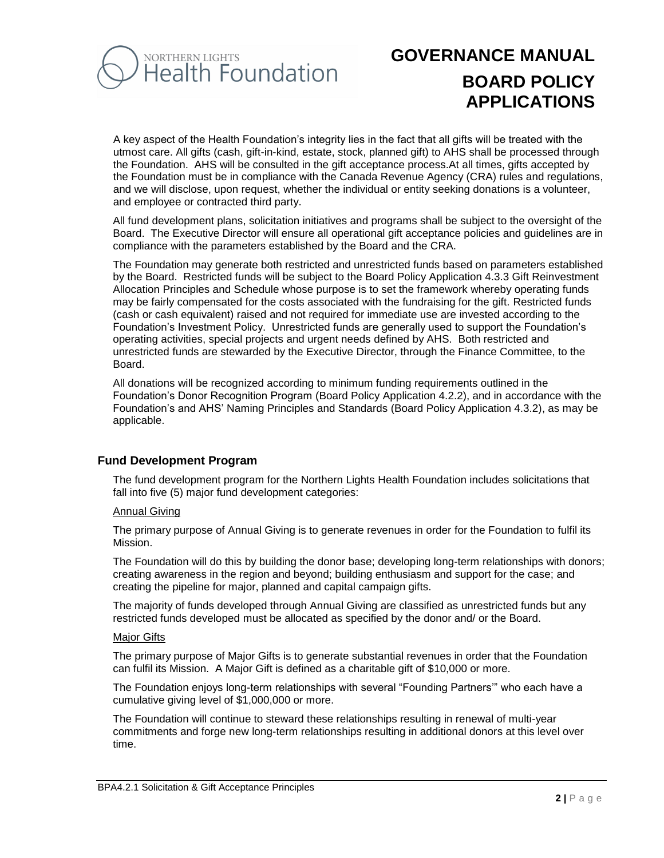

A key aspect of the Health Foundation's integrity lies in the fact that all gifts will be treated with the utmost care. All gifts (cash, gift-in-kind, estate, stock, planned gift) to AHS shall be processed through the Foundation. AHS will be consulted in the gift acceptance process.At all times, gifts accepted by the Foundation must be in compliance with the Canada Revenue Agency (CRA) rules and regulations, and we will disclose, upon request, whether the individual or entity seeking donations is a volunteer, and employee or contracted third party.

All fund development plans, solicitation initiatives and programs shall be subject to the oversight of the Board. The Executive Director will ensure all operational gift acceptance policies and guidelines are in compliance with the parameters established by the Board and the CRA.

The Foundation may generate both restricted and unrestricted funds based on parameters established by the Board. Restricted funds will be subject to the Board Policy Application 4.3.3 Gift Reinvestment Allocation Principles and Schedule whose purpose is to set the framework whereby operating funds may be fairly compensated for the costs associated with the fundraising for the gift. Restricted funds (cash or cash equivalent) raised and not required for immediate use are invested according to the Foundation's Investment Policy. Unrestricted funds are generally used to support the Foundation's operating activities, special projects and urgent needs defined by AHS. Both restricted and unrestricted funds are stewarded by the Executive Director, through the Finance Committee, to the Board.

All donations will be recognized according to minimum funding requirements outlined in the Foundation's Donor Recognition Program (Board Policy Application 4.2.2), and in accordance with the Foundation's and AHS' Naming Principles and Standards (Board Policy Application 4.3.2), as may be applicable.

## **Fund Development Program**

The fund development program for the Northern Lights Health Foundation includes solicitations that fall into five (5) major fund development categories:

#### Annual Giving

The primary purpose of Annual Giving is to generate revenues in order for the Foundation to fulfil its Mission.

The Foundation will do this by building the donor base; developing long-term relationships with donors; creating awareness in the region and beyond; building enthusiasm and support for the case; and creating the pipeline for major, planned and capital campaign gifts.

The majority of funds developed through Annual Giving are classified as unrestricted funds but any restricted funds developed must be allocated as specified by the donor and/ or the Board.

#### Major Gifts

The primary purpose of Major Gifts is to generate substantial revenues in order that the Foundation can fulfil its Mission. A Major Gift is defined as a charitable gift of \$10,000 or more.

The Foundation enjoys long-term relationships with several "Founding Partners'" who each have a cumulative giving level of \$1,000,000 or more.

The Foundation will continue to steward these relationships resulting in renewal of multi-year commitments and forge new long-term relationships resulting in additional donors at this level over time.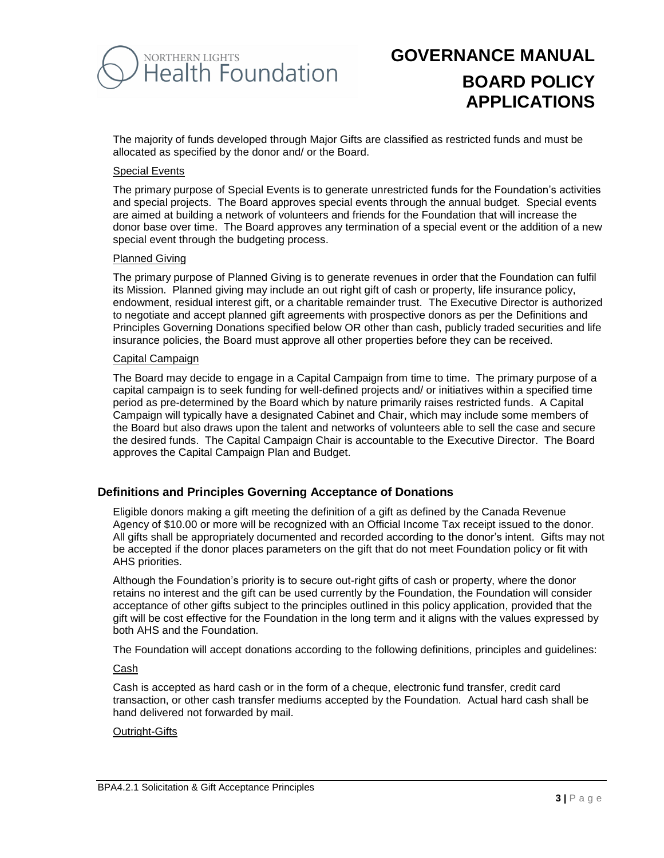

The majority of funds developed through Major Gifts are classified as restricted funds and must be allocated as specified by the donor and/ or the Board.

#### Special Events

The primary purpose of Special Events is to generate unrestricted funds for the Foundation's activities and special projects. The Board approves special events through the annual budget. Special events are aimed at building a network of volunteers and friends for the Foundation that will increase the donor base over time. The Board approves any termination of a special event or the addition of a new special event through the budgeting process.

### Planned Giving

The primary purpose of Planned Giving is to generate revenues in order that the Foundation can fulfil its Mission. Planned giving may include an out right gift of cash or property, life insurance policy, endowment, residual interest gift, or a charitable remainder trust. The Executive Director is authorized to negotiate and accept planned gift agreements with prospective donors as per the Definitions and Principles Governing Donations specified below OR other than cash, publicly traded securities and life insurance policies, the Board must approve all other properties before they can be received.

#### Capital Campaign

The Board may decide to engage in a Capital Campaign from time to time. The primary purpose of a capital campaign is to seek funding for well-defined projects and/ or initiatives within a specified time period as pre-determined by the Board which by nature primarily raises restricted funds. A Capital Campaign will typically have a designated Cabinet and Chair, which may include some members of the Board but also draws upon the talent and networks of volunteers able to sell the case and secure the desired funds. The Capital Campaign Chair is accountable to the Executive Director. The Board approves the Capital Campaign Plan and Budget.

## **Definitions and Principles Governing Acceptance of Donations**

Eligible donors making a gift meeting the definition of a gift as defined by the Canada Revenue Agency of \$10.00 or more will be recognized with an Official Income Tax receipt issued to the donor. All gifts shall be appropriately documented and recorded according to the donor's intent. Gifts may not be accepted if the donor places parameters on the gift that do not meet Foundation policy or fit with AHS priorities.

Although the Foundation's priority is to secure out-right gifts of cash or property, where the donor retains no interest and the gift can be used currently by the Foundation, the Foundation will consider acceptance of other gifts subject to the principles outlined in this policy application, provided that the gift will be cost effective for the Foundation in the long term and it aligns with the values expressed by both AHS and the Foundation.

The Foundation will accept donations according to the following definitions, principles and guidelines:

#### Cash

Cash is accepted as hard cash or in the form of a cheque, electronic fund transfer, credit card transaction, or other cash transfer mediums accepted by the Foundation. Actual hard cash shall be hand delivered not forwarded by mail.

#### Outright-Gifts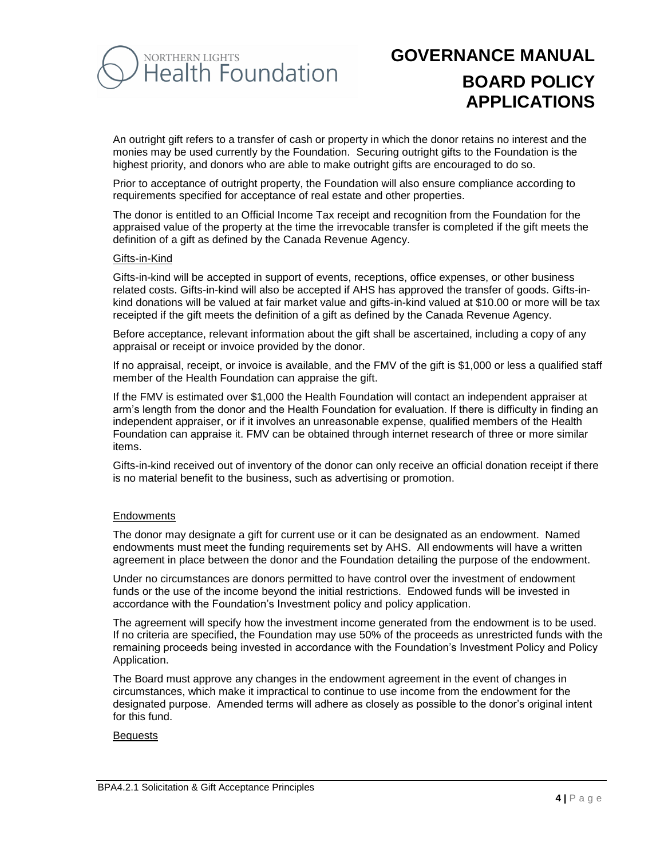

An outright gift refers to a transfer of cash or property in which the donor retains no interest and the monies may be used currently by the Foundation. Securing outright gifts to the Foundation is the highest priority, and donors who are able to make outright gifts are encouraged to do so.

Prior to acceptance of outright property, the Foundation will also ensure compliance according to requirements specified for acceptance of real estate and other properties.

The donor is entitled to an Official Income Tax receipt and recognition from the Foundation for the appraised value of the property at the time the irrevocable transfer is completed if the gift meets the definition of a gift as defined by the Canada Revenue Agency.

#### Gifts-in-Kind

Gifts-in-kind will be accepted in support of events, receptions, office expenses, or other business related costs. Gifts-in-kind will also be accepted if AHS has approved the transfer of goods. Gifts-inkind donations will be valued at fair market value and gifts-in-kind valued at \$10.00 or more will be tax receipted if the gift meets the definition of a gift as defined by the Canada Revenue Agency.

Before acceptance, relevant information about the gift shall be ascertained, including a copy of any appraisal or receipt or invoice provided by the donor.

If no appraisal, receipt, or invoice is available, and the FMV of the gift is \$1,000 or less a qualified staff member of the Health Foundation can appraise the gift.

If the FMV is estimated over \$1,000 the Health Foundation will contact an independent appraiser at arm's length from the donor and the Health Foundation for evaluation. If there is difficulty in finding an independent appraiser, or if it involves an unreasonable expense, qualified members of the Health Foundation can appraise it. FMV can be obtained through internet research of three or more similar items.

Gifts-in-kind received out of inventory of the donor can only receive an official donation receipt if there is no material benefit to the business, such as advertising or promotion.

#### **Endowments**

The donor may designate a gift for current use or it can be designated as an endowment. Named endowments must meet the funding requirements set by AHS. All endowments will have a written agreement in place between the donor and the Foundation detailing the purpose of the endowment.

Under no circumstances are donors permitted to have control over the investment of endowment funds or the use of the income beyond the initial restrictions. Endowed funds will be invested in accordance with the Foundation's Investment policy and policy application.

The agreement will specify how the investment income generated from the endowment is to be used. If no criteria are specified, the Foundation may use 50% of the proceeds as unrestricted funds with the remaining proceeds being invested in accordance with the Foundation's Investment Policy and Policy Application.

The Board must approve any changes in the endowment agreement in the event of changes in circumstances, which make it impractical to continue to use income from the endowment for the designated purpose. Amended terms will adhere as closely as possible to the donor's original intent for this fund.

#### Bequests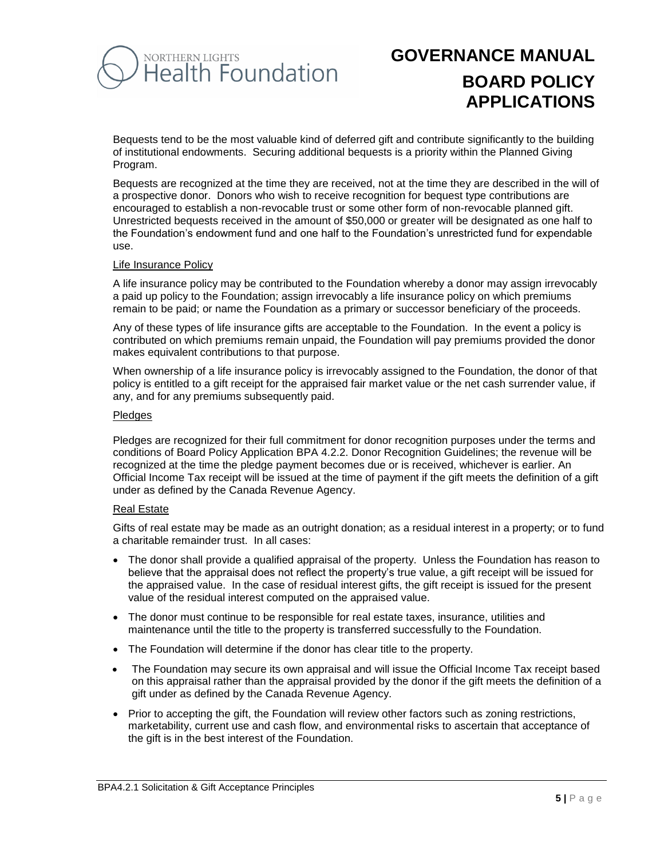# NORTHERN LIGHTS<br>Health Foundation

# **GOVERNANCE MANUAL BOARD POLICY APPLICATIONS**

Bequests tend to be the most valuable kind of deferred gift and contribute significantly to the building of institutional endowments. Securing additional bequests is a priority within the Planned Giving Program.

Bequests are recognized at the time they are received, not at the time they are described in the will of a prospective donor. Donors who wish to receive recognition for bequest type contributions are encouraged to establish a non-revocable trust or some other form of non-revocable planned gift. Unrestricted bequests received in the amount of \$50,000 or greater will be designated as one half to the Foundation's endowment fund and one half to the Foundation's unrestricted fund for expendable use.

#### Life Insurance Policy

A life insurance policy may be contributed to the Foundation whereby a donor may assign irrevocably a paid up policy to the Foundation; assign irrevocably a life insurance policy on which premiums remain to be paid; or name the Foundation as a primary or successor beneficiary of the proceeds.

Any of these types of life insurance gifts are acceptable to the Foundation. In the event a policy is contributed on which premiums remain unpaid, the Foundation will pay premiums provided the donor makes equivalent contributions to that purpose.

When ownership of a life insurance policy is irrevocably assigned to the Foundation, the donor of that policy is entitled to a gift receipt for the appraised fair market value or the net cash surrender value, if any, and for any premiums subsequently paid.

#### Pledges

Pledges are recognized for their full commitment for donor recognition purposes under the terms and conditions of Board Policy Application BPA 4.2.2. Donor Recognition Guidelines; the revenue will be recognized at the time the pledge payment becomes due or is received, whichever is earlier. An Official Income Tax receipt will be issued at the time of payment if the gift meets the definition of a gift under as defined by the Canada Revenue Agency.

#### Real Estate

Gifts of real estate may be made as an outright donation; as a residual interest in a property; or to fund a charitable remainder trust. In all cases:

- The donor shall provide a qualified appraisal of the property. Unless the Foundation has reason to believe that the appraisal does not reflect the property's true value, a gift receipt will be issued for the appraised value. In the case of residual interest gifts, the gift receipt is issued for the present value of the residual interest computed on the appraised value.
- The donor must continue to be responsible for real estate taxes, insurance, utilities and maintenance until the title to the property is transferred successfully to the Foundation.
- The Foundation will determine if the donor has clear title to the property.
- The Foundation may secure its own appraisal and will issue the Official Income Tax receipt based on this appraisal rather than the appraisal provided by the donor if the gift meets the definition of a gift under as defined by the Canada Revenue Agency.
- Prior to accepting the gift, the Foundation will review other factors such as zoning restrictions, marketability, current use and cash flow, and environmental risks to ascertain that acceptance of the gift is in the best interest of the Foundation.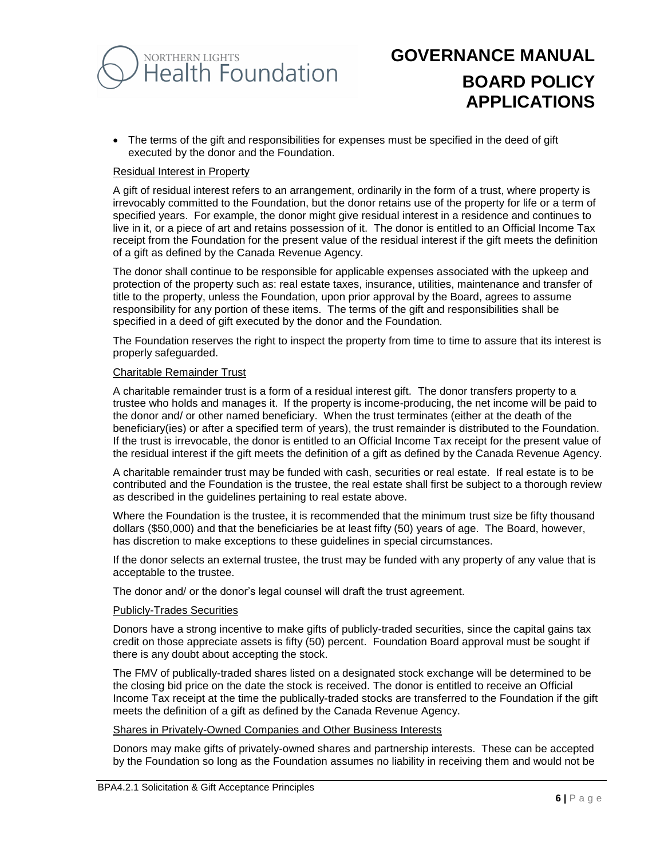

 The terms of the gift and responsibilities for expenses must be specified in the deed of gift executed by the donor and the Foundation.

#### Residual Interest in Property

A gift of residual interest refers to an arrangement, ordinarily in the form of a trust, where property is irrevocably committed to the Foundation, but the donor retains use of the property for life or a term of specified years. For example, the donor might give residual interest in a residence and continues to live in it, or a piece of art and retains possession of it. The donor is entitled to an Official Income Tax receipt from the Foundation for the present value of the residual interest if the gift meets the definition of a gift as defined by the Canada Revenue Agency.

The donor shall continue to be responsible for applicable expenses associated with the upkeep and protection of the property such as: real estate taxes, insurance, utilities, maintenance and transfer of title to the property, unless the Foundation, upon prior approval by the Board, agrees to assume responsibility for any portion of these items. The terms of the gift and responsibilities shall be specified in a deed of gift executed by the donor and the Foundation.

The Foundation reserves the right to inspect the property from time to time to assure that its interest is properly safeguarded.

#### Charitable Remainder Trust

A charitable remainder trust is a form of a residual interest gift. The donor transfers property to a trustee who holds and manages it. If the property is income-producing, the net income will be paid to the donor and/ or other named beneficiary. When the trust terminates (either at the death of the beneficiary(ies) or after a specified term of years), the trust remainder is distributed to the Foundation. If the trust is irrevocable, the donor is entitled to an Official Income Tax receipt for the present value of the residual interest if the gift meets the definition of a gift as defined by the Canada Revenue Agency.

A charitable remainder trust may be funded with cash, securities or real estate. If real estate is to be contributed and the Foundation is the trustee, the real estate shall first be subject to a thorough review as described in the guidelines pertaining to real estate above.

Where the Foundation is the trustee, it is recommended that the minimum trust size be fifty thousand dollars (\$50,000) and that the beneficiaries be at least fifty (50) years of age. The Board, however, has discretion to make exceptions to these guidelines in special circumstances.

If the donor selects an external trustee, the trust may be funded with any property of any value that is acceptable to the trustee.

The donor and/ or the donor's legal counsel will draft the trust agreement.

#### Publicly-Trades Securities

Donors have a strong incentive to make gifts of publicly-traded securities, since the capital gains tax credit on those appreciate assets is fifty (50) percent. Foundation Board approval must be sought if there is any doubt about accepting the stock.

The FMV of publically-traded shares listed on a designated stock exchange will be determined to be the closing bid price on the date the stock is received. The donor is entitled to receive an Official Income Tax receipt at the time the publically-traded stocks are transferred to the Foundation if the gift meets the definition of a gift as defined by the Canada Revenue Agency.

#### Shares in Privately-Owned Companies and Other Business Interests

Donors may make gifts of privately-owned shares and partnership interests. These can be accepted by the Foundation so long as the Foundation assumes no liability in receiving them and would not be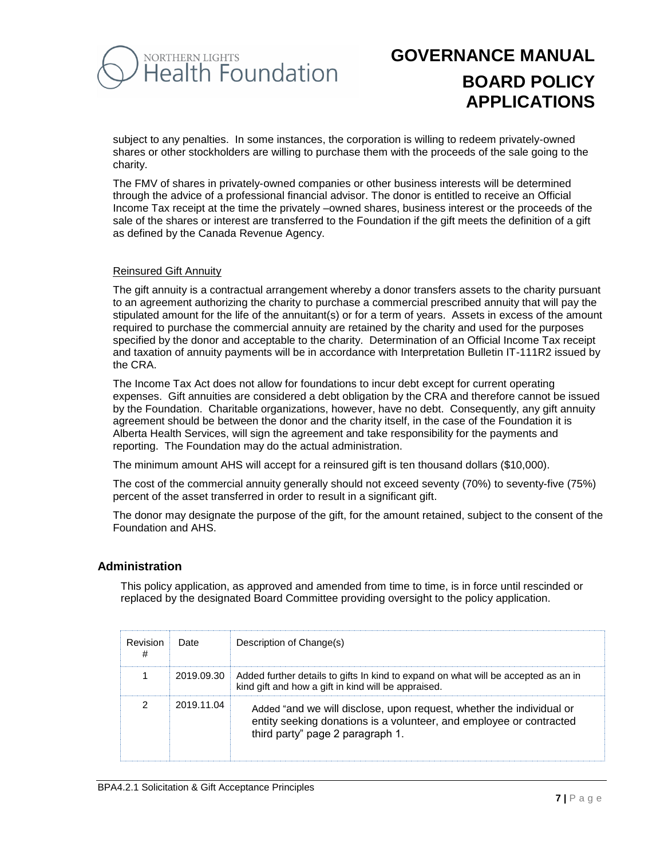

subject to any penalties. In some instances, the corporation is willing to redeem privately-owned shares or other stockholders are willing to purchase them with the proceeds of the sale going to the charity.

The FMV of shares in privately-owned companies or other business interests will be determined through the advice of a professional financial advisor. The donor is entitled to receive an Official Income Tax receipt at the time the privately –owned shares, business interest or the proceeds of the sale of the shares or interest are transferred to the Foundation if the gift meets the definition of a gift as defined by the Canada Revenue Agency.

### Reinsured Gift Annuity

The gift annuity is a contractual arrangement whereby a donor transfers assets to the charity pursuant to an agreement authorizing the charity to purchase a commercial prescribed annuity that will pay the stipulated amount for the life of the annuitant(s) or for a term of years. Assets in excess of the amount required to purchase the commercial annuity are retained by the charity and used for the purposes specified by the donor and acceptable to the charity. Determination of an Official Income Tax receipt and taxation of annuity payments will be in accordance with Interpretation Bulletin IT-111R2 issued by the CRA.

The Income Tax Act does not allow for foundations to incur debt except for current operating expenses. Gift annuities are considered a debt obligation by the CRA and therefore cannot be issued by the Foundation. Charitable organizations, however, have no debt. Consequently, any gift annuity agreement should be between the donor and the charity itself, in the case of the Foundation it is Alberta Health Services, will sign the agreement and take responsibility for the payments and reporting. The Foundation may do the actual administration.

The minimum amount AHS will accept for a reinsured gift is ten thousand dollars (\$10,000).

The cost of the commercial annuity generally should not exceed seventy (70%) to seventy-five (75%) percent of the asset transferred in order to result in a significant gift.

The donor may designate the purpose of the gift, for the amount retained, subject to the consent of the Foundation and AHS.

## **Administration**

This policy application, as approved and amended from time to time, is in force until rescinded or replaced by the designated Board Committee providing oversight to the policy application.

| Revision<br># | Date       | Description of Change(s)                                                                                                                                                        |
|---------------|------------|---------------------------------------------------------------------------------------------------------------------------------------------------------------------------------|
|               |            | 2019.09.30 Added further details to gifts In kind to expand on what will be accepted as an in<br>kind gift and how a gift in kind will be appraised.                            |
|               | 2019.11.04 | Added "and we will disclose, upon request, whether the individual or<br>entity seeking donations is a volunteer, and employee or contracted<br>third party" page 2 paragraph 1. |